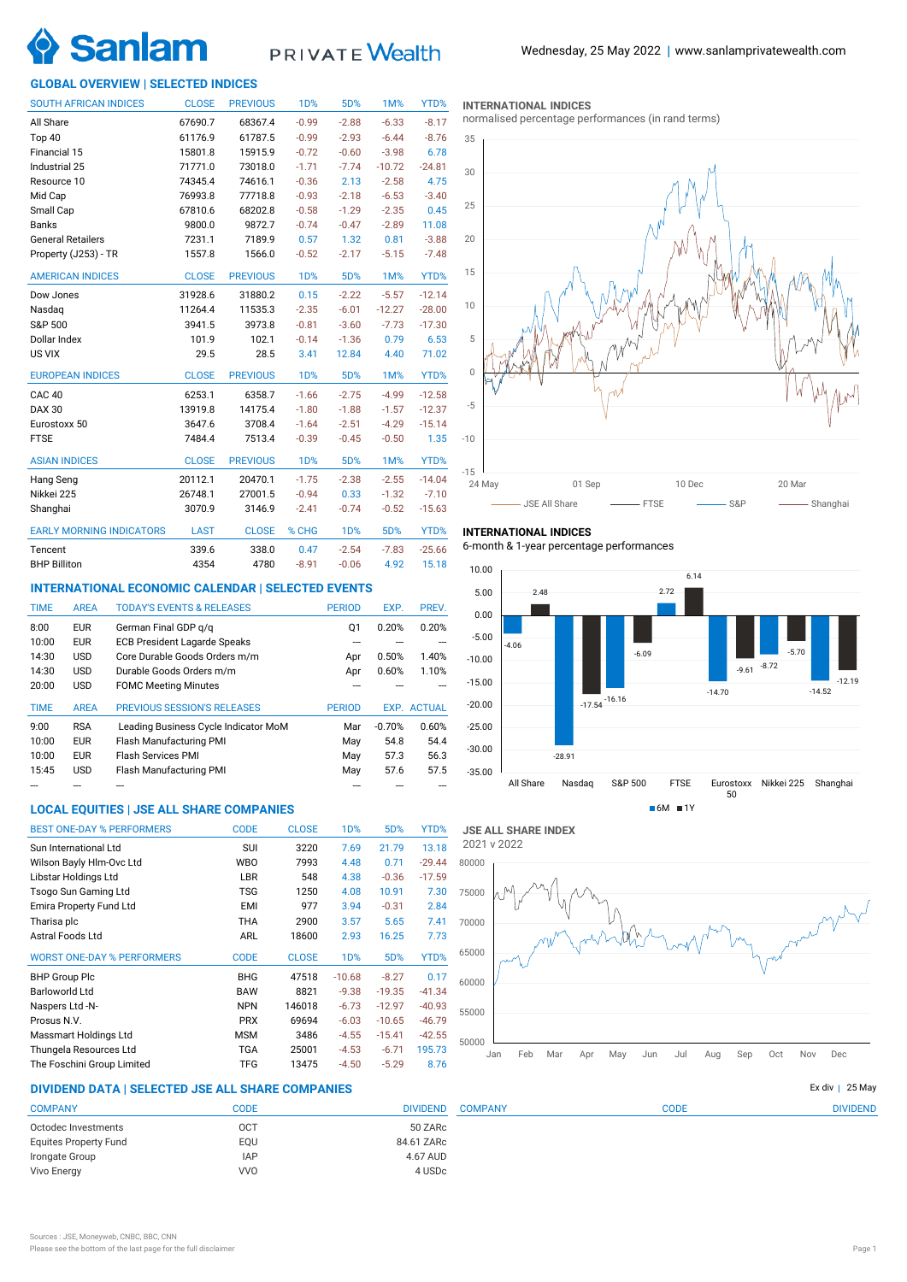

# PRIVATE Wealth

# **GLOBAL OVERVIEW | SELECTED INDICES**

| <b>SOUTH AFRICAN INDICES</b>    | <b>CLOSE</b> | <b>PREVIOUS</b> | <b>1D%</b>       | 5D%        | <b>1M%</b> | YTD%     |
|---------------------------------|--------------|-----------------|------------------|------------|------------|----------|
| All Share                       | 67690.7      | 68367.4         | $-0.99$          | $-2.88$    | $-6.33$    | $-8.17$  |
| Top 40                          | 61176.9      | 61787.5         | $-0.99$          | $-2.93$    | $-6.44$    | $-8.76$  |
| Financial 15                    | 15801.8      | 15915.9         | $-0.72$          | $-0.60$    | $-3.98$    | 6.78     |
| Industrial 25                   | 71771.0      | 73018.0         | $-1.71$          | $-7.74$    | $-10.72$   | $-24.81$ |
| Resource 10                     | 74345.4      | 74616.1         | $-0.36$          | 2.13       | $-2.58$    | 4.75     |
| Mid Cap                         | 76993.8      | 77718.8         | $-0.93$          | $-2.18$    | $-6.53$    | $-3.40$  |
| Small Cap                       | 67810.6      | 68202.8         | $-0.58$          | $-1.29$    | $-2.35$    | 0.45     |
| <b>Banks</b>                    | 9800.0       | 9872.7          | $-0.74$          | $-0.47$    | $-2.89$    | 11.08    |
| <b>General Retailers</b>        | 7231.1       | 7189.9          | 0.57             | 1.32       | 0.81       | $-3.88$  |
| Property (J253) - TR            | 1557.8       | 1566.0          | $-0.52$          | $-2.17$    | $-5.15$    | $-7.48$  |
| <b>AMERICAN INDICES</b>         | <b>CLOSE</b> | <b>PREVIOUS</b> | 1 <sub>D</sub> % | 5D%        | 1M%        | YTD%     |
| Dow Jones                       | 31928.6      | 31880.2         | 0.15             | $-2.22$    | $-5.57$    | $-12.14$ |
| Nasdag                          | 11264.4      | 11535.3         | $-2.35$          | $-6.01$    | $-12.27$   | $-28.00$ |
| S&P 500                         | 3941.5       | 3973.8          | $-0.81$          | $-3.60$    | $-7.73$    | $-17.30$ |
| Dollar Index                    | 101.9        | 102.1           | $-0.14$          | $-1.36$    | 0.79       | 6.53     |
| US VIX                          | 29.5         | 28.5            | 3.41             | 12.84      | 4.40       | 71.02    |
| <b>EUROPEAN INDICES</b>         | <b>CLOSE</b> | <b>PREVIOUS</b> | <b>1D%</b>       | 5D%        | 1M%        | YTD%     |
| <b>CAC 40</b>                   | 6253.1       | 6358.7          | $-1.66$          | $-2.75$    | $-4.99$    | $-12.58$ |
| <b>DAX 30</b>                   | 13919.8      | 14175.4         | $-1.80$          | $-1.88$    | $-1.57$    | $-12.37$ |
| Eurostoxx 50                    | 3647.6       | 3708.4          | $-1.64$          | $-2.51$    | $-4.29$    | $-15.14$ |
| <b>FTSE</b>                     | 7484.4       | 7513.4          | $-0.39$          | $-0.45$    | $-0.50$    | 1.35     |
| <b>ASIAN INDICES</b>            | <b>CLOSE</b> | <b>PREVIOUS</b> | <b>1D%</b>       | 5D%        | 1M%        | YTD%     |
| Hang Seng                       | 20112.1      | 20470.1         | $-1.75$          | $-2.38$    | $-2.55$    | $-14.04$ |
| Nikkei 225                      | 26748.1      | 27001.5         | $-0.94$          | 0.33       | $-1.32$    | $-7.10$  |
| Shanghai                        | 3070.9       | 3146.9          | $-2.41$          | $-0.74$    | $-0.52$    | $-15.63$ |
| <b>EARLY MORNING INDICATORS</b> | <b>LAST</b>  | <b>CLOSE</b>    | % CHG            | <b>1D%</b> | 5D%        | YTD%     |
| Tencent                         | 339.6        | 338.0           | 0.47             | $-2.54$    | $-7.83$    | $-25.66$ |
| <b>BHP Billiton</b>             | 4354         | 4780            | $-8.91$          | $-0.06$    | 4.92       | 15.18    |

# **INTERNATIONAL ECONOMIC CALENDAR | SELECTED EVENTS**

| <b>TIME</b> | <b>AREA</b> | <b>TODAY'S EVENTS &amp; RELEASES</b> | <b>PERIOD</b> | EXP.     | PREV.              |
|-------------|-------------|--------------------------------------|---------------|----------|--------------------|
| 8:00        | <b>EUR</b>  | German Final GDP q/q                 | 01            | 0.20%    | 0.20%              |
| 10:00       | <b>EUR</b>  | <b>ECB President Lagarde Speaks</b>  |               |          |                    |
| 14:30       | <b>USD</b>  | Core Durable Goods Orders m/m        | Apr           | 0.50%    | 1.40%              |
| 14:30       | <b>USD</b>  | Durable Goods Orders m/m             | Apr           | 0.60%    | 1.10%              |
| 20:00       | <b>USD</b>  | <b>FOMC Meeting Minutes</b>          |               |          |                    |
|             |             |                                      |               |          |                    |
| <b>TIME</b> | <b>AREA</b> | <b>PREVIOUS SESSION'S RELEASES</b>   | <b>PERIOD</b> |          | <b>EXP. ACTUAL</b> |
| 9:00        | <b>RSA</b>  | Leading Business Cycle Indicator MoM | Mar           | $-0.70%$ | 0.60%              |
| 10:00       | <b>EUR</b>  | Flash Manufacturing PMI              | May           | 54.8     | 54.4               |
| 10:00       | <b>EUR</b>  | <b>Flash Services PMI</b>            | May           | 57.3     | 56.3               |
| 15:45       | <b>USD</b>  | Flash Manufacturing PMI              | May           | 57.6     | 57.5               |

# **LOCAL EQUITIES | JSE ALL SHARE COMPANIES**

| <b>BEST ONE-DAY % PERFORMERS</b>  | <b>CODE</b> | <b>CLOSE</b> | 1D%              | 5D%      | YTD%     |
|-----------------------------------|-------------|--------------|------------------|----------|----------|
| Sun International Ltd             | SUI         | 3220         | 7.69             | 21.79    | 13.18    |
| Wilson Bayly Hlm-Ovc Ltd          | <b>WBO</b>  | 7993         | 4.48             | 0.71     | $-29.44$ |
| Libstar Holdings Ltd              | LBR         | 548          | 4.38             | $-0.36$  | $-17.59$ |
| Tsogo Sun Gaming Ltd              | <b>TSG</b>  | 1250         | 4.08             | 10.91    | 7.30     |
| Emira Property Fund Ltd           | EMI         | 977          | 3.94             | $-0.31$  | 2.84     |
| Tharisa plc                       | <b>THA</b>  | 2900         | 3.57             | 5.65     | 7.41     |
| Astral Foods Ltd                  | ARL         | 18600        | 2.93             | 16.25    | 7.73     |
| <b>WORST ONE-DAY % PERFORMERS</b> | <b>CODE</b> | <b>CLOSE</b> | 1 <sub>D</sub> % | 5D%      | YTD%     |
| <b>BHP Group Plc</b>              | <b>BHG</b>  | 47518        | $-10.68$         | $-8.27$  | 0.17     |
| Barloworld Ltd                    | <b>BAW</b>  | 8821         | $-9.38$          | $-19.35$ | $-41.34$ |
| Naspers Ltd -N-                   | <b>NPN</b>  | 146018       | $-6.73$          | $-12.97$ | $-40.93$ |
| Prosus N.V.                       | <b>PRX</b>  | 69694        | $-6.03$          | $-10.65$ | $-46.79$ |
| Massmart Holdings Ltd             | <b>MSM</b>  | 3486         | $-4.55$          | $-15.41$ | $-42.55$ |
| Thungela Resources Ltd            | TGA         | 25001        | $-4.53$          | $-6.71$  | 195.73   |
| The Foschini Group Limited        |             |              |                  |          |          |

## **INTERNATIONAL INDICES**

normalised percentage performances (in rand terms)



# **INTERNATIONAL INDICES**

6-month & 1-year percentage performances





COMPANY CODE DIVIDEND

# **DIVIDEND DATA | SELECTED JSE ALL SHARE COMPANIES |**

| <b>COMPANY</b>               | CODE       | <b>DIVIDEND</b> |
|------------------------------|------------|-----------------|
| Octodec Investments          | OCT        | 50 ZARc         |
| <b>Equites Property Fund</b> | EOU        | 84.61 ZARc      |
| Irongate Group               | <b>IAP</b> | 4.67 AUD        |
| Vivo Energy                  | <b>VVO</b> | 4 USDc          |

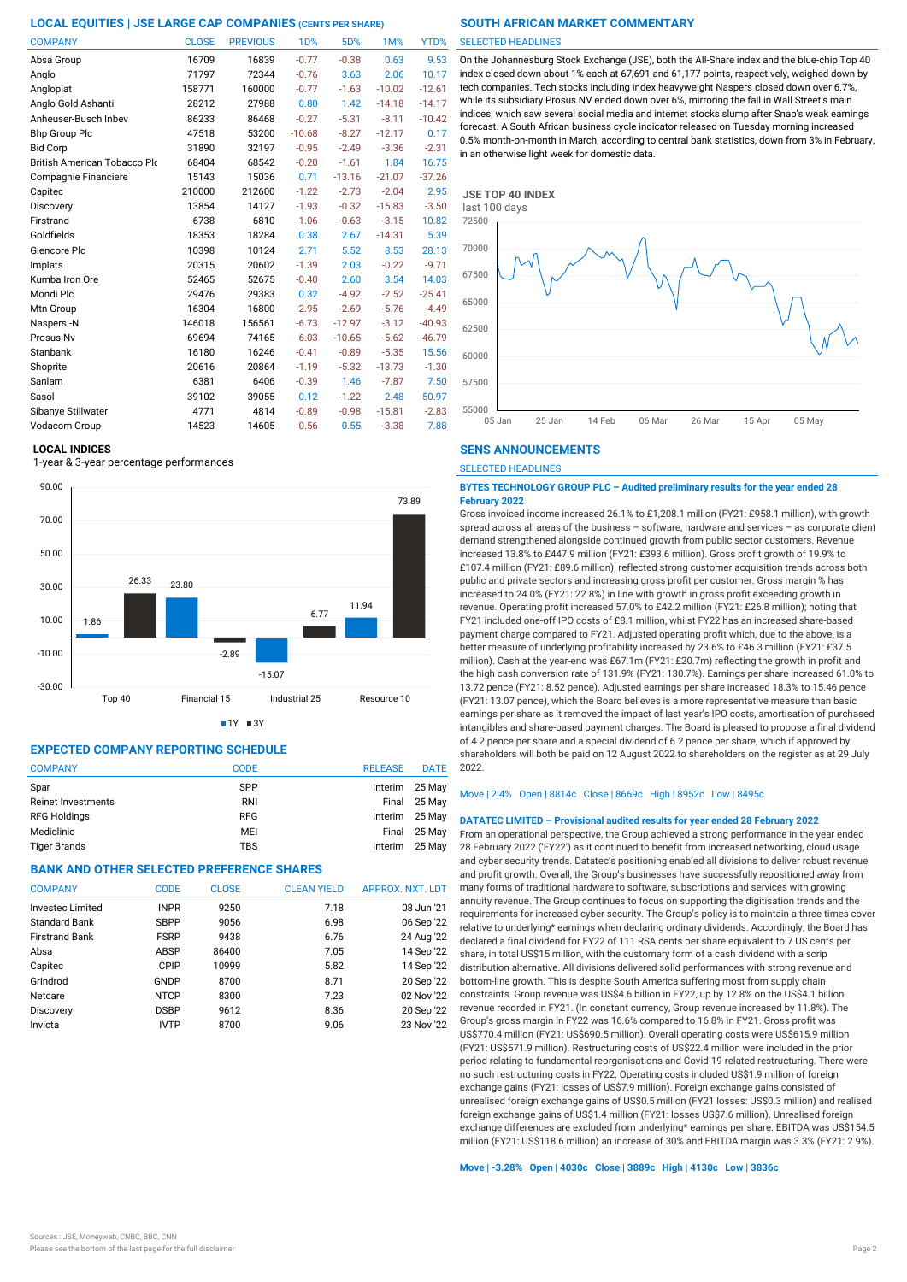| <b>COMPANY</b>                      | <b>CLOSE</b> | <b>PREVIOUS</b> | 1D%      | 5D%      | 1M%      | YTD%     |
|-------------------------------------|--------------|-----------------|----------|----------|----------|----------|
| Absa Group                          | 16709        | 16839           | $-0.77$  | $-0.38$  | 0.63     | 9.53     |
| Anglo                               | 71797        | 72344           | $-0.76$  | 3.63     | 2.06     | 10.17    |
| Angloplat                           | 158771       | 160000          | $-0.77$  | $-1.63$  | $-10.02$ | $-12.61$ |
| Anglo Gold Ashanti                  | 28212        | 27988           | 0.80     | 1.42     | $-14.18$ | $-14.17$ |
| Anheuser-Busch Inbev                | 86233        | 86468           | $-0.27$  | $-5.31$  | $-8.11$  | $-10.42$ |
| <b>Bhp Group Plc</b>                | 47518        | 53200           | $-10.68$ | $-8.27$  | $-12.17$ | 0.17     |
| <b>Bid Corp</b>                     | 31890        | 32197           | $-0.95$  | $-2.49$  | $-3.36$  | $-2.31$  |
| <b>British American Tobacco Plo</b> | 68404        | 68542           | $-0.20$  | $-1.61$  | 1.84     | 16.75    |
| Compagnie Financiere                | 15143        | 15036           | 0.71     | $-13.16$ | $-21.07$ | $-37.26$ |
| Capitec                             | 210000       | 212600          | $-1.22$  | $-2.73$  | $-2.04$  | 2.95     |
| Discovery                           | 13854        | 14127           | $-1.93$  | $-0.32$  | $-15.83$ | $-3.50$  |
| Firstrand                           | 6738         | 6810            | $-1.06$  | $-0.63$  | $-3.15$  | 10.82    |
| Goldfields                          | 18353        | 18284           | 0.38     | 2.67     | $-14.31$ | 5.39     |
| Glencore Plc                        | 10398        | 10124           | 2.71     | 5.52     | 8.53     | 28.13    |
| Implats                             | 20315        | 20602           | $-1.39$  | 2.03     | $-0.22$  | $-9.71$  |
| Kumba Iron Ore                      | 52465        | 52675           | $-0.40$  | 2.60     | 3.54     | 14.03    |
| Mondi Plc                           | 29476        | 29383           | 0.32     | $-4.92$  | $-2.52$  | $-25.41$ |
| Mtn Group                           | 16304        | 16800           | $-2.95$  | $-2.69$  | $-5.76$  | $-4.49$  |
| Naspers-N                           | 146018       | 156561          | $-6.73$  | $-12.97$ | $-3.12$  | $-40.93$ |
| Prosus Nv                           | 69694        | 74165           | $-6.03$  | $-10.65$ | $-5.62$  | $-46.79$ |
| Stanbank                            | 16180        | 16246           | $-0.41$  | $-0.89$  | $-5.35$  | 15.56    |
| Shoprite                            | 20616        | 20864           | $-1.19$  | $-5.32$  | $-13.73$ | $-1.30$  |
| Sanlam                              | 6381         | 6406            | $-0.39$  | 1.46     | $-7.87$  | 7.50     |
| Sasol                               | 39102        | 39055           | 0.12     | $-1.22$  | 2.48     | 50.97    |
| Sibanye Stillwater                  | 4771         | 4814            | $-0.89$  | $-0.98$  | $-15.81$ | $-2.83$  |
| Vodacom Group                       | 14523        | 14605           | $-0.56$  | 0.55     | $-3.38$  | 7.88     |

#### **LOCAL INDICES**

1-year & 3-year percentage performances



 $1Y = 3Y$ 

# **EXPECTED COMPANY REPORTING SCHEDULE**

| <b>COMPANY</b>            | <b>CODE</b> | <b>RELEASE</b> | <b>DATE</b>    |
|---------------------------|-------------|----------------|----------------|
| Spar                      | <b>SPP</b>  |                | Interim 25 May |
| <b>Reinet Investments</b> | <b>RNI</b>  |                | Final 25 May   |
| <b>RFG Holdings</b>       | <b>RFG</b>  |                | Interim 25 May |
| Mediclinic                | MEI         |                | Final 25 May   |
| <b>Tiger Brands</b>       | TBS         | Interim        | 25 Mav         |

# **BANK AND OTHER SELECTED PREFERENCE SHARES**

| <b>COMPANY</b>        | <b>CODE</b> | <b>CLOSE</b> | <b>CLEAN YIELD</b> | APPROX. NXT. LDT |
|-----------------------|-------------|--------------|--------------------|------------------|
| Investec Limited      | <b>INPR</b> | 9250         | 7.18               | 08 Jun '21       |
| <b>Standard Bank</b>  | <b>SBPP</b> | 9056         | 6.98               | 06 Sep '22       |
| <b>Firstrand Bank</b> | <b>FSRP</b> | 9438         | 6.76               | 24 Aug '22       |
| Absa                  | ABSP        | 86400        | 7.05               | 14 Sep '22       |
| Capitec               | CPIP        | 10999        | 5.82               | 14 Sep '22       |
| Grindrod              | GNDP        | 8700         | 8.71               | 20 Sep '22       |
| Netcare               | <b>NTCP</b> | 8300         | 7.23               | 02 Nov '22       |
| Discovery             | <b>DSBP</b> | 9612         | 8.36               | 20 Sep '22       |
| Invicta               | <b>IVTP</b> | 8700         | 9.06               | 23 Nov '22       |

## SELECTED HEADLINES

On the Johannesburg Stock Exchange (JSE), both the All-Share index and the blue-chip Top 40 index closed down about 1% each at 67,691 and 61,177 points, respectively, weighed down by tech companies. Tech stocks including index heavyweight Naspers closed down over 6.7%, while its subsidiary Prosus NV ended down over 6%, mirroring the fall in Wall Street's main indices, which saw several social media and internet stocks slump after Snap's weak earnings forecast. A South African business cycle indicator released on Tuesday morning increased 0.5% month-on-month in March, according to central bank statistics, down from 3% in February, in an otherwise light week for domestic data.



# **SENS ANNOUNCEMENTS**

SELECTED HEADLINES

#### **BYTES TECHNOLOGY GROUP PLC – Audited preliminary results for the year ended 28 February 2022**

Gross invoiced income increased 26.1% to £1,208.1 million (FY21: £958.1 million), with growth spread across all areas of the business – software, hardware and services – as corporate client demand strengthened alongside continued growth from public sector customers. Revenue increased 13.8% to £447.9 million (FY21: £393.6 million). Gross profit growth of 19.9% to £107.4 million (FY21: £89.6 million), reflected strong customer acquisition trends across both public and private sectors and increasing gross profit per customer. Gross margin % has increased to 24.0% (FY21: 22.8%) in line with growth in gross profit exceeding growth in revenue. Operating profit increased 57.0% to £42.2 million (FY21: £26.8 million); noting that FY21 included one-off IPO costs of £8.1 million, whilst FY22 has an increased share-based payment charge compared to FY21. Adjusted operating profit which, due to the above, is a better measure of underlying profitability increased by 23.6% to £46.3 million (FY21: £37.5 million). Cash at the year-end was £67.1m (FY21: £20.7m) reflecting the growth in profit and the high cash conversion rate of 131.9% (FY21: 130.7%). Earnings per share increased 61.0% to 13.72 pence (FY21: 8.52 pence). Adjusted earnings per share increased 18.3% to 15.46 pence (FY21: 13.07 pence), which the Board believes is a more representative measure than basic earnings per share as it removed the impact of last year's IPO costs, amortisation of purchased intangibles and share-based payment charges. The Board is pleased to propose a final dividend of 4.2 pence per share and a special dividend of 6.2 pence per share, which if approved by shareholders will both be paid on 12 August 2022 to shareholders on the register as at 29 July  $2022$ 

#### Move | 2.4% Open | 8814c Close | 8669c High | 8952c Low | 8495c

### **DATATEC LIMITED – Provisional audited results for year ended 28 February 2022**

From an operational perspective, the Group achieved a strong performance in the year ended 28 February 2022 ('FY22') as it continued to benefit from increased networking, cloud usage and cyber security trends. Datatec's positioning enabled all divisions to deliver robust revenue and profit growth. Overall, the Group's businesses have successfully repositioned away from many forms of traditional hardware to software, subscriptions and services with growing annuity revenue. The Group continues to focus on supporting the digitisation trends and the requirements for increased cyber security. The Group's policy is to maintain a three times cover relative to underlying\* earnings when declaring ordinary dividends. Accordingly, the Board has declared a final dividend for FY22 of 111 RSA cents per share equivalent to 7 US cents per share, in total US\$15 million, with the customary form of a cash dividend with a scrip distribution alternative. All divisions delivered solid performances with strong revenue and bottom-line growth. This is despite South America suffering most from supply chain constraints. Group revenue was US\$4.6 billion in FY22, up by 12.8% on the US\$4.1 billion revenue recorded in FY21. (In constant currency, Group revenue increased by 11.8%). The Group's gross margin in FY22 was 16.6% compared to 16.8% in FY21. Gross profit was US\$770.4 million (FY21: US\$690.5 million). Overall operating costs were US\$615.9 million (FY21: US\$571.9 million). Restructuring costs of US\$22.4 million were included in the prior period relating to fundamental reorganisations and Covid-19-related restructuring. There were no such restructuring costs in FY22. Operating costs included US\$1.9 million of foreign exchange gains (FY21: losses of US\$7.9 million). Foreign exchange gains consisted of unrealised foreign exchange gains of US\$0.5 million (FY21 losses: US\$0.3 million) and realised foreign exchange gains of US\$1.4 million (FY21: losses US\$7.6 million). Unrealised foreign exchange differences are excluded from underlying\* earnings per share. EBITDA was US\$154.5 million (FY21: US\$118.6 million) an increase of 30% and EBITDA margin was 3.3% (FY21: 2.9%).

## **Move | -3.28% Open | 4030c Close | 3889c High | 4130c Low | 3836c**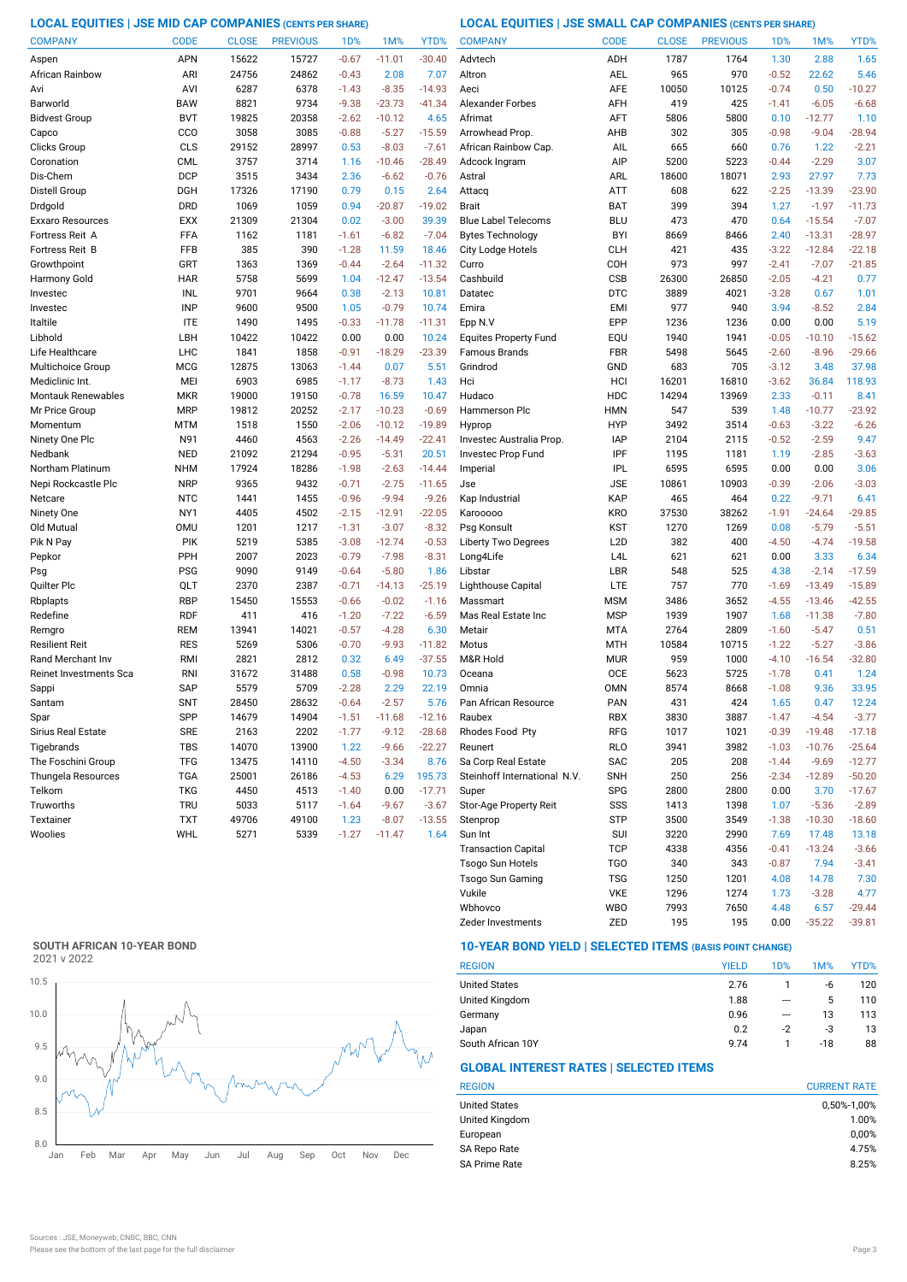**LOCAL EQUITIES | JSE MID CAP COMPANIES (CENTS PER SHARE) LOCAL EQUITIES | JSE SMALL CAP COMPANIES (CENTS PER SHARE)**

| <b>COMPANY</b>            | <b>CODE</b>     | <b>CLOSE</b> | <b>PREVIOUS</b> | 1 <sub>D</sub> % | 1M%                 | YTD%     | <b>COMPANY</b>               | <b>CODE</b>      | <b>CLOSE</b> | <b>PREVIOUS</b> | 1 <sub>D</sub> % | 1M%      | YTD%     |
|---------------------------|-----------------|--------------|-----------------|------------------|---------------------|----------|------------------------------|------------------|--------------|-----------------|------------------|----------|----------|
| Aspen                     | <b>APN</b>      | 15622        | 15727           | $-0.67$          | $-11.01$            | $-30.40$ | Advtech                      | ADH              | 1787         | 1764            | 1.30             | 2.88     | 1.65     |
| African Rainbow           | ARI             | 24756        | 24862           | $-0.43$          | 2.08                | 7.07     | Altron                       | <b>AEL</b>       | 965          | 970             | $-0.52$          | 22.62    | 5.46     |
| Avi                       | AVI             | 6287         | 6378            | $-1.43$          | $-8.35$             | $-14.93$ | Aeci                         | <b>AFE</b>       | 10050        | 10125           | $-0.74$          | 0.50     | $-10.27$ |
| Barworld                  | <b>BAW</b>      | 8821         | 9734            | $-9.38$          | $-23.73$            | $-41.34$ | Alexander Forbes             | AFH              | 419          | 425             | $-1.41$          | $-6.05$  | $-6.68$  |
| <b>Bidvest Group</b>      | <b>BVT</b>      | 19825        | 20358           | $-2.62$          | $-10.12$            | 4.65     | Afrimat                      | AFT              | 5806         | 5800            | 0.10             | $-12.77$ | 1.10     |
| Capco                     | CCO             | 3058         | 3085            | $-0.88$          | $-5.27$             | $-15.59$ | Arrowhead Prop               | AHB              | 302          | 305             | $-0.98$          | $-9.04$  | $-28.94$ |
| Clicks Group              | CLS             | 29152        | 28997           | 0.53             | $-8.03$             | $-7.61$  | African Rainbow Cap.         | AIL              | 665          | 660             | 0.76             | 1.22     | $-2.21$  |
| Coronation                | <b>CML</b>      | 3757         | 3714            | 1.16             | $-10.46$            | $-28.49$ | Adcock Ingram                | AIP              | 5200         | 5223            | $-0.44$          | $-2.29$  | 3.07     |
| Dis-Chem                  | <b>DCP</b>      | 3515         | 3434            | 2.36             | $-6.62$             | $-0.76$  | Astral                       | ARL              | 18600        | 18071           | 2.93             | 27.97    | 7.73     |
| Distell Group             | <b>DGH</b>      | 17326        | 17190           | 0.79             | 0.15                | 2.64     | Attacq                       | ATT              | 608          | 622             | $-2.25$          | $-13.39$ | $-23.90$ |
| Drdgold                   | <b>DRD</b>      | 1069         | 1059            | 0.94             | $-20.87$            | $-19.02$ | <b>Brait</b>                 | <b>BAT</b>       | 399          | 394             | 1.27             | $-1.97$  | $-11.73$ |
| Exxaro Resources          | <b>EXX</b>      | 21309        | 21304           | 0.02             | $-3.00$             | 39.39    | <b>Blue Label Telecoms</b>   | <b>BLU</b>       | 473          | 470             | 0.64             | $-15.54$ | $-7.07$  |
| Fortress Reit A           | FFA             | 1162         | 1181            | $-1.61$          | $-6.82$             | $-7.04$  | <b>Bytes Technology</b>      | <b>BYI</b>       | 8669         | 8466            | 2.40             | $-13.31$ | $-28.97$ |
| Fortress Reit B           | FFB             | 385          | 390             | $-1.28$          | 11.59               | 18.46    | <b>City Lodge Hotels</b>     | <b>CLH</b>       | 421          | 435             | $-3.22$          | $-12.84$ | $-22.18$ |
| Growthpoint               | GRT             | 1363         | 1369            | $-0.44$          | $-2.64$             | $-11.32$ | Curro                        | COH              | 973          | 997             | $-2.41$          | $-7.07$  | $-21.85$ |
|                           | <b>HAR</b>      | 5758         | 5699            | 1.04             |                     | $-13.54$ | Cashbuild                    | <b>CSB</b>       | 26300        | 26850           | $-2.05$          | $-4.21$  | 0.77     |
| Harmony Gold              | <b>INL</b>      | 9701         | 9664            | 0.38             | $-12.47$<br>$-2.13$ | 10.81    | Datatec                      | <b>DTC</b>       | 3889         | 4021            | $-3.28$          | 0.67     | 1.01     |
| Investec                  |                 |              |                 |                  |                     |          |                              |                  |              |                 |                  |          |          |
| Investec                  | <b>INP</b>      | 9600         | 9500            | 1.05             | $-0.79$             | 10.74    | Emira                        | <b>EMI</b>       | 977          | 940             | 3.94             | $-8.52$  | 2.84     |
| Italtile                  | <b>ITE</b>      | 1490         | 1495            | $-0.33$          | $-11.78$            | $-11.31$ | Epp N.V                      | EPP              | 1236         | 1236            | 0.00             | 0.00     | 5.19     |
| Libhold                   | LBH             | 10422        | 10422           | 0.00             | 0.00                | 10.24    | <b>Equites Property Fund</b> | EQU              | 1940         | 1941            | $-0.05$          | $-10.10$ | $-15.62$ |
| Life Healthcare           | <b>LHC</b>      | 1841         | 1858            | $-0.91$          | $-18.29$            | $-23.39$ | <b>Famous Brands</b>         | <b>FBR</b>       | 5498         | 5645            | $-2.60$          | $-8.96$  | $-29.66$ |
| Multichoice Group         | <b>MCG</b>      | 12875        | 13063           | $-1.44$          | 0.07                | 5.51     | Grindrod                     | GND              | 683          | 705             | $-3.12$          | 3.48     | 37.98    |
| Mediclinic Int.           | MEI             | 6903         | 6985            | $-1.17$          | $-8.73$             | 1.43     | Hci                          | HCI              | 16201        | 16810           | $-3.62$          | 36.84    | 118.93   |
| <b>Montauk Renewables</b> | <b>MKR</b>      | 19000        | 19150           | $-0.78$          | 16.59               | 10.47    | Hudaco                       | HDC              | 14294        | 13969           | 2.33             | $-0.11$  | 8.41     |
| Mr Price Group            | <b>MRP</b>      | 19812        | 20252           | $-2.17$          | $-10.23$            | $-0.69$  | <b>Hammerson Plc</b>         | <b>HMN</b>       | 547          | 539             | 1.48             | $-10.77$ | $-23.92$ |
| Momentum                  | MTM             | 1518         | 1550            | $-2.06$          | $-10.12$            | $-19.89$ | Hyprop                       | <b>HYP</b>       | 3492         | 3514            | $-0.63$          | $-3.22$  | $-6.26$  |
| Ninety One Plc            | N91             | 4460         | 4563            | $-2.26$          | $-14.49$            | $-22.41$ | Investec Australia Prop.     | <b>IAP</b>       | 2104         | 2115            | $-0.52$          | $-2.59$  | 9.47     |
| Nedbank                   | <b>NED</b>      | 21092        | 21294           | $-0.95$          | $-5.31$             | 20.51    | Investec Prop Fund           | IPF              | 1195         | 1181            | 1.19             | $-2.85$  | $-3.63$  |
| Northam Platinum          | <b>NHM</b>      | 17924        | 18286           | $-1.98$          | $-2.63$             | $-14.44$ | Imperial                     | <b>IPL</b>       | 6595         | 6595            | 0.00             | 0.00     | 3.06     |
| Nepi Rockcastle Plc       | <b>NRP</b>      | 9365         | 9432            | $-0.71$          | $-2.75$             | $-11.65$ | Jse                          | <b>JSE</b>       | 10861        | 10903           | $-0.39$          | $-2.06$  | $-3.03$  |
| Netcare                   | <b>NTC</b>      | 1441         | 1455            | $-0.96$          | $-9.94$             | $-9.26$  | Kap Industrial               | KAP              | 465          | 464             | 0.22             | $-9.71$  | 6.41     |
| Ninety One                | NY <sub>1</sub> | 4405         | 4502            | $-2.15$          | $-12.91$            | $-22.05$ | Karooooo                     | <b>KRO</b>       | 37530        | 38262           | $-1.91$          | $-24.64$ | $-29.85$ |
| Old Mutual                | <b>OMU</b>      | 1201         | 1217            | $-1.31$          | $-3.07$             | $-8.32$  | Psg Konsult                  | <b>KST</b>       | 1270         | 1269            | 0.08             | $-5.79$  | $-5.51$  |
| Pik N Pay                 | PIK             | 5219         | 5385            | $-3.08$          | $-12.74$            | $-0.53$  | Liberty Two Degrees          | L <sub>2</sub> D | 382          | 400             | $-4.50$          | $-4.74$  | $-19.58$ |
| Pepkor                    | PPH             | 2007         | 2023            | $-0.79$          | $-7.98$             | $-8.31$  | Long4Life                    | L4L              | 621          | 621             | 0.00             | 3.33     | 6.34     |
| Psg                       | <b>PSG</b>      | 9090         | 9149            | $-0.64$          | $-5.80$             | 1.86     | Libstar                      | LBR              | 548          | 525             | 4.38             | $-2.14$  | $-17.59$ |
| Quilter Plc               | QLT             | 2370         | 2387            | $-0.71$          | $-14.13$            | $-25.19$ | Lighthouse Capital           | LTE              | 757          | 770             | $-1.69$          | $-13.49$ | $-15.89$ |
| Rbplapts                  | <b>RBP</b>      | 15450        | 15553           | $-0.66$          | $-0.02$             | $-1.16$  | Massmart                     | <b>MSM</b>       | 3486         | 3652            | $-4.55$          | $-13.46$ | $-42.55$ |
| Redefine                  | <b>RDF</b>      | 411          | 416             | $-1.20$          | $-7.22$             | $-6.59$  | Mas Real Estate Inc          | <b>MSP</b>       | 1939         | 1907            | 1.68             | $-11.38$ | $-7.80$  |
| Remgro                    | REM             | 13941        | 14021           | $-0.57$          | $-4.28$             | 6.30     | Metair                       | <b>MTA</b>       | 2764         | 2809            | $-1.60$          | $-5.47$  | 0.51     |
| Resilient Reit            | <b>RES</b>      | 5269         | 5306            | $-0.70$          | $-9.93$             | $-11.82$ | Motus                        | <b>MTH</b>       | 10584        | 10715           | $-1.22$          | $-5.27$  | $-3.86$  |
| Rand Merchant Inv         | <b>RMI</b>      | 2821         | 2812            | 0.32             | 6.49                | $-37.55$ | M&R Hold                     | <b>MUR</b>       | 959          | 1000            | $-4.10$          | $-16.54$ | $-32.80$ |
| Reinet Investments Sca    | <b>RNI</b>      | 31672        | 31488           | 0.58             | $-0.98$             | 10.73    | Oceana                       | <b>OCE</b>       | 5623         | 5725            | $-1.78$          | 0.41     | 1.24     |
| Sappi                     | SAP             | 5579         | 5709            | $-2.28$          | 2.29                | 22.19    | Omnia                        | <b>OMN</b>       | 8574         | 8668            | $-1.08$          | 9.36     | 33.95    |
| Santam                    | <b>SNT</b>      | 28450        | 28632           | $-0.64$          | $-2.57$             | 5.76     | Pan African Resource         | <b>PAN</b>       | 431          | 424             | 1.65             | 0.47     | 12.24    |
| Spar                      | SPP             | 14679        | 14904           | $-1.51$          | -11.68              | $-12.16$ | Raubex                       | RBX              | 3830         | 3887            | $-1.47$          | $-4.54$  | $-3.77$  |
| Sirius Real Estate        | <b>SRE</b>      | 2163         | 2202            | $-1.77$          | $-9.12$             | $-28.68$ | Rhodes Food Pty              | RFG              | 1017         | 1021            | $-0.39$          | $-19.48$ | $-17.18$ |
| Tigebrands                | <b>TBS</b>      | 14070        | 13900           | 1.22             | $-9.66$             | $-22.27$ | Reunert                      | <b>RLO</b>       | 3941         | 3982            | $-1.03$          | $-10.76$ | $-25.64$ |
| The Foschini Group        | <b>TFG</b>      | 13475        | 14110           | $-4.50$          | $-3.34$             | 8.76     | Sa Corp Real Estate          | SAC              | 205          | 208             | $-1.44$          | $-9.69$  | $-12.77$ |
| Thungela Resources        | <b>TGA</b>      | 25001        | 26186           | $-4.53$          | 6.29                | 195.73   | Steinhoff International N.V. | <b>SNH</b>       | 250          | 256             | $-2.34$          | $-12.89$ | $-50.20$ |
| Telkom                    | <b>TKG</b>      | 4450         | 4513            | $-1.40$          | 0.00                | $-17.71$ | Super                        | <b>SPG</b>       | 2800         | 2800            | 0.00             | 3.70     | $-17.67$ |
| Truworths                 | <b>TRU</b>      | 5033         | 5117            | $-1.64$          | $-9.67$             | $-3.67$  | Stor-Age Property Reit       | SSS              | 1413         | 1398            | 1.07             | $-5.36$  | $-2.89$  |
| Textainer                 | <b>TXT</b>      | 49706        | 49100           | 1.23             | $-8.07$             | $-13.55$ | Stenprop                     | <b>STP</b>       | 3500         | 3549            | $-1.38$          | $-10.30$ | $-18.60$ |
| Woolies                   | WHL             | 5271         | 5339            | $-1.27$          | $-11.47$            | 1.64     | Sun Int                      | <b>SUI</b>       | 3220         | 2990            | 7.69             | 17.48    | 13.18    |
|                           |                 |              |                 |                  |                     |          | <b>Transaction Capital</b>   | <b>TCP</b>       | 4338         | 4356            | $-0.41$          | $-13.24$ | $-3.66$  |
|                           |                 |              |                 |                  |                     |          | <b>Tsogo Sun Hotels</b>      | TG <sub>O</sub>  | 340          | 343             | $-0.87$          | 7.94     | $-3.41$  |
|                           |                 |              |                 |                  |                     |          | <b>Tsogo Sun Gaming</b>      | <b>TSG</b>       | 1250         | 1201            | 4.08             | 14.78    | 7.30     |

# **SOUTH AFRICAN 10-YEAR BOND**



# **10-YEAR BOND YIELD | SELECTED ITEMS (BASIS POINT CHANGE)**

| <b>REGION</b>        | <b>YIELD</b> | 1D%  | 1M%   | YTD% |
|----------------------|--------------|------|-------|------|
| <b>United States</b> | 2.76         |      | -6    | 120  |
| United Kingdom       | 1.88         | ---  | 5     | 110  |
| Germany              | 0.96         | ---  | 13    | 113  |
| Japan                | 0.2          | $-2$ | -3    | 13   |
| South African 10Y    | 9.74         |      | $-18$ | 88   |

Zeder Investments ZED 195 195 0.00 -35.22 -39.81

Wbhovco WBO 7993 7650 4.48 6.57 -29.44 Vukile VKE 1296 1274 1.73 -3.28

# **GLOBAL INTEREST RATES | SELECTED ITEMS**

| <b>CURRENT RATE</b> |
|---------------------|
| 0,50%-1,00%         |
| 1.00%               |
| 0,00%               |
| 4.75%               |
| 8.25%               |
|                     |

 $4.77$ <br>-29.44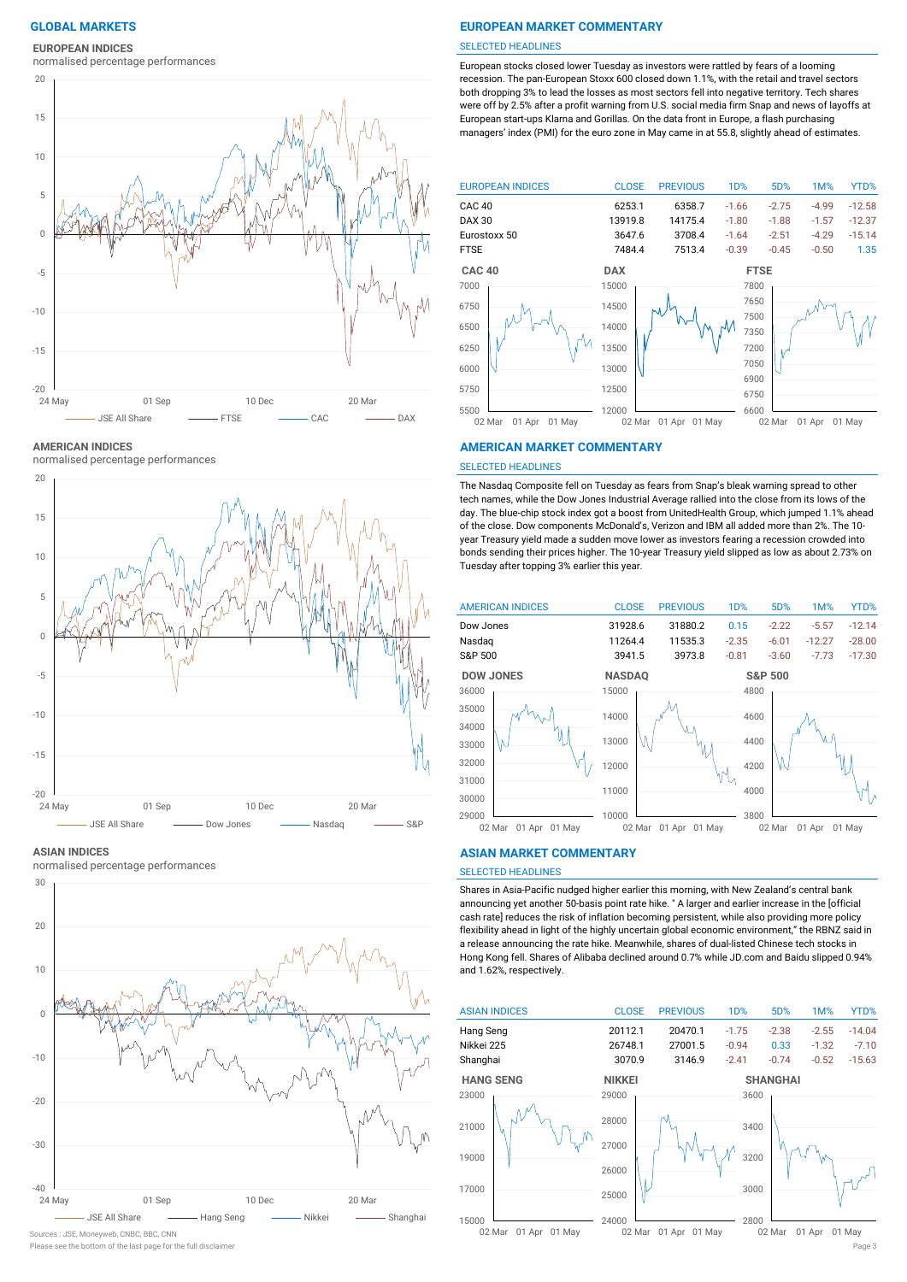**EUROPEAN INDICES**

normalised percentage performances



**AMERICAN INDICES**

normalised percentage performances



#### **ASIAN INDICES**

normalised percentage performances



Sources : JSE, Moneyweb, CNBC, BBC, CNN

# **GLOBAL MARKETS EUROPEAN MARKET COMMENTARY**

#### SELECTED HEADLINES

European stocks closed lower Tuesday as investors were rattled by fears of a looming recession. The pan-European Stoxx 600 closed down 1.1%, with the retail and travel sectors both dropping 3% to lead the losses as most sectors fell into negative territory. Tech shares were off by 2.5% after a profit warning from U.S. social media firm Snap and news of layoffs at European start-ups Klarna and Gorillas. On the data front in Europe, a flash purchasing managers' index (PMI) for the euro zone in May came in at 55.8, slightly ahead of estimates.



### **AMERICAN MARKET COMMENTARY**

### SELECTED HEADLINES

The Nasdaq Composite fell on Tuesday as fears from Snap's bleak warning spread to other tech names, while the Dow Jones Industrial Average rallied into the close from its lows of the day. The blue-chip stock index got a boost from UnitedHealth Group, which jumped 1.1% ahead of the close. Dow components McDonald's, Verizon and IBM all added more than 2%. The 10 year Treasury yield made a sudden move lower as investors fearing a recession crowded into bonds sending their prices higher. The 10-year Treasury yield slipped as low as about 2.73% on Tuesday after topping 3% earlier this year.



01 Apr 01 May

### **ASIAN MARKET COMMENTARY**

# SELECTED HEADLINES

Shares in Asia-Pacific nudged higher earlier this morning, with New Zealand's central bank announcing yet another 50-basis point rate hike. ″ A larger and earlier increase in the [official cash rate] reduces the risk of inflation becoming persistent, while also providing more policy flexibility ahead in light of the highly uncertain global economic environment," the RBNZ said in a release announcing the rate hike. Meanwhile, shares of dual-listed Chinese tech stocks in Hong Kong fell. Shares of Alibaba declined around 0.7% while JD.com and Baidu slipped 0.94% and 1.62%, respectively.



Please see the bottom of the last page for the full disclaimer Page 3